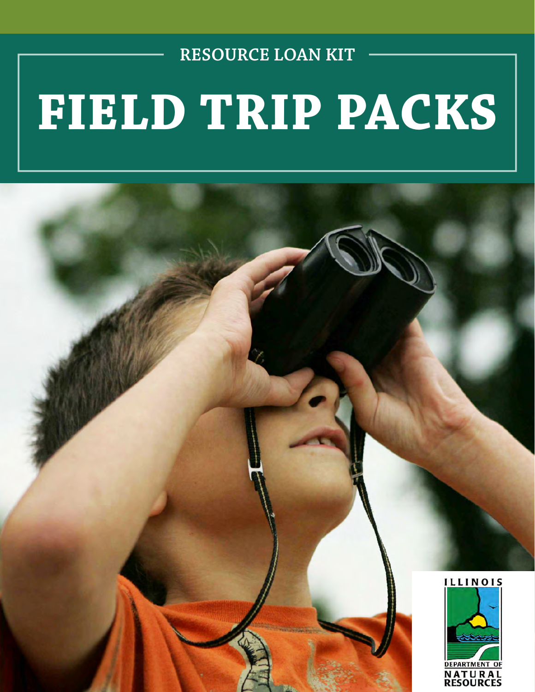**RESOURCE LOAN KIT**

# **FIELD TRIP PACKS**